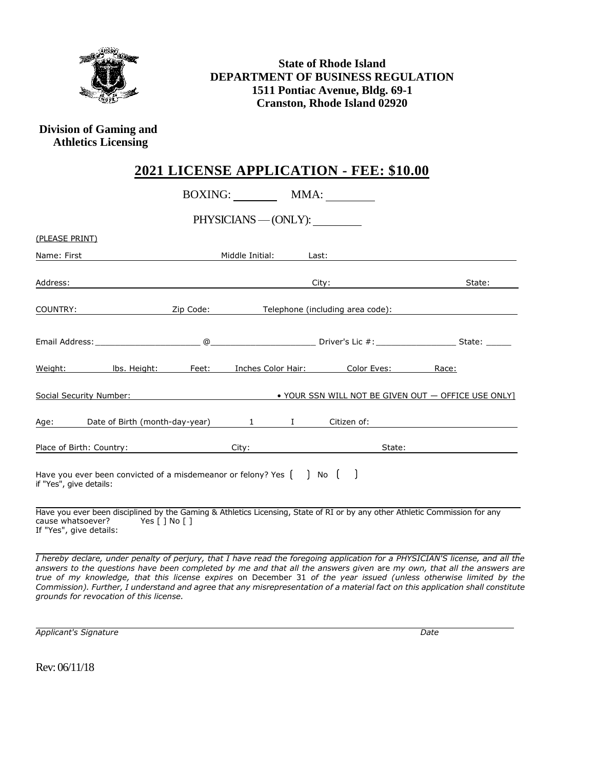

**State of Rhode Island DEPARTMENT OF BUSINESS REGULATION 1511 Pontiac Avenue, Bldg. 69-1 Cranston, Rhode Island 02920**

**Division of Gaming and Athletics Licensing**

## **2021 LICENSE APPLICATION - FEE: \$10.00**

|                                                                                                |                                                                                                                                             |           | BOXING:         |        | MMA:                                                                                                                                                                                                                           |                                                                                                                             |  |  |
|------------------------------------------------------------------------------------------------|---------------------------------------------------------------------------------------------------------------------------------------------|-----------|-----------------|--------|--------------------------------------------------------------------------------------------------------------------------------------------------------------------------------------------------------------------------------|-----------------------------------------------------------------------------------------------------------------------------|--|--|
| PHYSICIANS — (ONLY):                                                                           |                                                                                                                                             |           |                 |        |                                                                                                                                                                                                                                |                                                                                                                             |  |  |
| (PLEASE PRINT)                                                                                 |                                                                                                                                             |           |                 |        |                                                                                                                                                                                                                                |                                                                                                                             |  |  |
| Name: First                                                                                    |                                                                                                                                             |           | Middle Initial: |        | Last:                                                                                                                                                                                                                          |                                                                                                                             |  |  |
| Address:                                                                                       |                                                                                                                                             |           |                 |        | City: the contract of the contract of the contract of the contract of the contract of the contract of the contract of the contract of the contract of the contract of the contract of the contract of the contract of the cont | State:                                                                                                                      |  |  |
| COUNTRY:                                                                                       |                                                                                                                                             | Zip Code: |                 |        | Telephone (including area code):                                                                                                                                                                                               |                                                                                                                             |  |  |
|                                                                                                |                                                                                                                                             |           |                 |        |                                                                                                                                                                                                                                |                                                                                                                             |  |  |
|                                                                                                | Weight: Ibs. Height: Feet:                                                                                                                  |           |                 |        | Inches Color Hair: Color Eves: Race:                                                                                                                                                                                           |                                                                                                                             |  |  |
| Social Security Number: <b>A COVID-MAN COVID-MAN COVID-MAN COVID-MAN COVID-OFFICE USE ONLY</b> |                                                                                                                                             |           |                 |        |                                                                                                                                                                                                                                |                                                                                                                             |  |  |
|                                                                                                |                                                                                                                                             |           |                 |        |                                                                                                                                                                                                                                |                                                                                                                             |  |  |
| Place of Birth: Country:                                                                       |                                                                                                                                             | City:     |                 | State: |                                                                                                                                                                                                                                |                                                                                                                             |  |  |
| if "Yes", give details:                                                                        | Have you ever been convicted of a misdemeanor or felony? Yes $\begin{bmatrix} \\ \\ \end{bmatrix}$ No $\begin{bmatrix} \\ \\ \end{bmatrix}$ |           |                 |        |                                                                                                                                                                                                                                |                                                                                                                             |  |  |
| If "Yes", give details:                                                                        | cause whatsoever? Yes [ ] No [ ]                                                                                                            |           |                 |        |                                                                                                                                                                                                                                | Have you ever been disciplined by the Gaming & Athletics Licensing, State of RI or by any other Athletic Commission for any |  |  |

*I hereby declare, under penalty of perjury, that I have read the foregoing application for a PHYSICIAN'S license, and all the answers to the questions have been completed by me and that all the answers given* are *my own, that all the answers are true of my knowledge, that this license expires* on December 31 *of the year issued (unless otherwise limited by the Commission). Further, I understand and agree that any misrepresentation of a material fact on this application shall constitute grounds for revocation of this license.*

*Applicant's Signature Date*

Rev: 06/11/18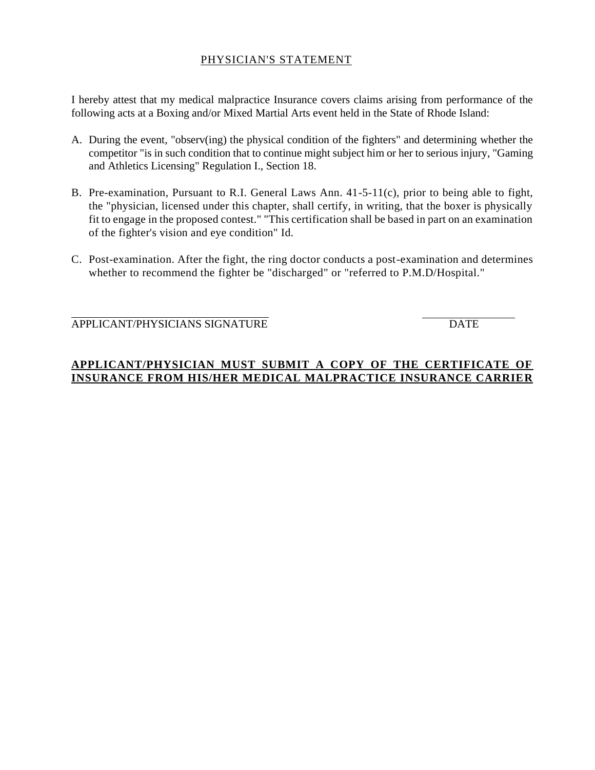#### PHYSICIAN'S STATEMENT

I hereby attest that my medical malpractice Insurance covers claims arising from performance of the following acts at a Boxing and/or Mixed Martial Arts event held in the State of Rhode Island:

- A. During the event, "observ(ing) the physical condition of the fighters" and determining whether the competitor "is in such condition that to continue might subject him or her to serious injury, "Gaming and Athletics Licensing" Regulation I., Section 18.
- B. Pre-examination, Pursuant to R.I. General Laws Ann. 41-5-11(c), prior to being able to fight, the "physician, licensed under this chapter, shall certify, in writing, that the boxer is physically fit to engage in the proposed contest." "This certification shall be based in part on an examination of the fighter's vision and eye condition" Id.
- C. Post-examination. After the fight, the ring doctor conducts a post-examination and determines whether to recommend the fighter be "discharged" or "referred to P.M.D/Hospital."

APPLICANT/PHYSICIANS SIGNATURE **Example 19 SIGNATURE** DATE

#### **APPLICANT/PHYSICIAN MUST SUBMIT A COPY OF THE CERTIFICATE OF INSURANCE FROM HIS/HER MEDICAL MALPRACTICE INSURANCE CARRIER**